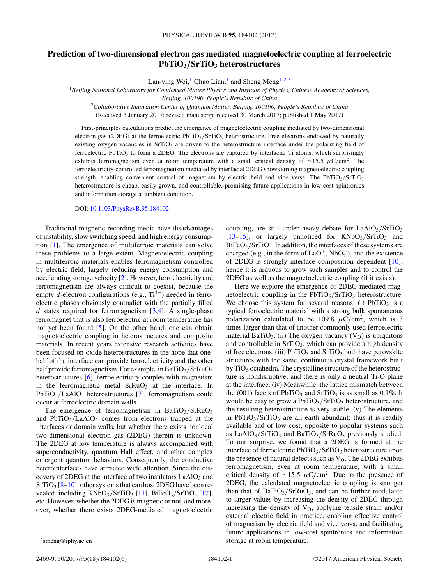## **Prediction of two-dimensional electron gas mediated magnetoelectric coupling at ferroelectric PbTiO3***/***SrTiO3 heterostructures**

Lan-ying Wei,<sup>1</sup> Chao Lian,<sup>1</sup> and Sheng Meng<sup>1,2,\*</sup>

<sup>1</sup>*Beijing National Laboratory for Condensed Matter Physics and Institute of Physics, Chinese Academy of Sciences,*

*Beijing, 100190, People's Republic of China*

<sup>2</sup>*Collaborative Innovation Center of Quantum Matter, Beijing, 100190, People's Republic of China*

(Received 3 January 2017; revised manuscript received 30 March 2017; published 1 May 2017)

First-principles calculations predict the emergence of magnetoelectric coupling mediated by two-dimensional electron gas (2DEG) at the ferroelectric PbTiO3*/*SrTiO3 heterostructure. Free electrons endowed by naturally existing oxygen vacancies in  $SrTiO<sub>3</sub>$  are driven to the heterostructure interface under the polarizing field of ferroelectric PbTiO<sub>3</sub> to form a 2DEG. The electrons are captured by interfacial Ti atoms, which surprisingly exhibits ferromagnetism even at room temperature with a small critical density of ∼15*.*5 *μ*C*/*cm2. The ferroelectricity-controlled ferromagnetism mediated by interfacial 2DEG shows strong magnetoelectric coupling strength, enabling convenient control of magnetism by electric field and vice versa. The  $PbTiO<sub>3</sub>/STiO<sub>3</sub>$ heterostructure is cheap, easily grown, and controllable, promising future applications in low-cost spintronics and information storage at ambient condition.

## DOI: [10.1103/PhysRevB.95.184102](https://doi.org/10.1103/PhysRevB.95.184102)

Traditional magnetic recording media have disadvantages of instability, slow switching speed, and high energy consumption [\[1\]](#page-5-0). The emergence of multiferroic materials can solve these problems to a large extent. Magnetoelectric coupling in multiferroic materials enables ferromagnetism controlled by electric field, largely reducing energy consumption and accelerating storage velocity [\[2\]](#page-5-0). However, ferroelectricity and ferromagnetism are always difficult to coexist, because the empty *d*-electron configurations (e.g.,  $Ti^{4+}$ ) needed in ferroelectric phases obviously contradict with the partially filled *d* states required for ferromagnetism [\[3,4\]](#page-5-0). A single-phase ferromagnet that is also ferroelectric at room temperature has not yet been found [\[5\]](#page-5-0). On the other hand, one can obtain magnetoelectric coupling in heterostructures and composite materials. In recent years extensive research activities have been focused on oxide heterostructures in the hope that onehalf of the interface can provide ferroelectricity and the other half provide ferromagnetism. For example, in BaTiO<sub>3</sub>/SrRuO<sub>3</sub> heterostructures [\[6\]](#page-5-0), ferroelectricity couples with magnetism in the ferromagnetic metal  $SrRuO<sub>3</sub>$  at the interface. In PbTiO<sub>3</sub>/LaAlO<sub>3</sub> heterostructures [\[7\]](#page-5-0), ferromagnetism could occur at ferroelectric domain walls.

The emergence of ferromagnetism in BaTiO<sub>3</sub>/SrRuO<sub>3</sub> and  $PbTiO<sub>3</sub>/LaAlO<sub>3</sub> comes from electrons trapped at the$ interfaces or domain walls, but whether there exists nonlocal two-dimensional electron gas (2DEG) therein is unknown. The 2DEG at low temperature is always accompanied with superconductivity, quantum Hall effect, and other complex emergent quantum behaviors. Consequently, the conductive heterointerfaces have attracted wide attention. Since the discovery of 2DEG at the interface of two insulators LaAlO<sub>3</sub> and  $SrTiO<sub>3</sub>$  [\[8–10\]](#page-5-0), other systems that can host 2DEG have been re-vealed, including KNbO<sub>3</sub>/SrTiO<sub>3</sub> [\[11\]](#page-5-0), BiFeO<sub>3</sub>/SrTiO<sub>3</sub> [\[12\]](#page-5-0), etc. However, whether the 2DEG is magnetic or not, and moreover, whether there exists 2DEG-mediated magnetoelectric coupling, are still under heavy debate for LaAlO3*/*SrTiO3 [\[13–15\]](#page-5-0), or largely unnoticed for KNbO<sub>3</sub>/SrTiO<sub>3</sub> and BiFeO<sub>3</sub>/SrTiO<sub>3</sub>. In addition, the interfaces of these systems are charged (e.g., in the form of  $LaO<sup>+</sup>$ , Nb $O<sub>2</sub><sup>+</sup>$ ), and the existence of 2DEG is strongly interface composition dependent  $[10]$ ; hence it is arduous to grow such samples and to control the 2DEG as well as the magnetoelectric coupling (if it exists).

Here we explore the emergence of 2DEG-mediated magnetoelectric coupling in the  $PbTiO<sub>3</sub>/STIO<sub>3</sub>$  heterostructure. We choose this system for several reasons: (i)  $PbTiO<sub>3</sub>$  is a typical ferroelectric material with a strong bulk spontaneous polarization calculated to be 109.8  $\mu$ C/cm<sup>2</sup>, which is 3 times larger than that of another commonly used ferroelectric material BaTiO<sub>3</sub>. (ii) The oxygen vacancy  $(V<sub>O</sub>)$  is ubiquitous and controllable in  $SrTiO<sub>3</sub>$ , which can provide a high density of free electrons. (iii)  $PbTiO<sub>3</sub>$  and  $SrTiO<sub>3</sub>$  both have perovskite structures with the same, continuous crystal framework built by  $TiO<sub>6</sub> octahedra$ . The crystalline structure of the heterostructure is nondisruptive, and there is only a neutral Ti-O plane at the interface. (iv) Meanwhile, the lattice mismatch between the (001) facets of PbTiO<sub>3</sub> and SrTiO<sub>3</sub> is as small as  $0.1\%$ . It would be easy to grow a PbTiO<sub>3</sub>/SrTiO<sub>3</sub> heterostructure, and the resulting heterostructure is very stable. (v) The elements in  $PbTiO<sub>3</sub>/STiO<sub>3</sub>$  are all earth abundant; thus it is readily available and of low cost, opposite to popular systems such as LaAlO<sub>3</sub>/SrTiO<sub>3</sub> and BaTiO<sub>3</sub>/SrRuO<sub>3</sub> previously studied. To our surprise, we found that a 2DEG is formed at the interface of ferroelectric PbTiO<sub>3</sub>/SrTiO<sub>3</sub> heterostructure upon the presence of natural defects such as  $V<sub>O</sub>$ . The 2DEG exhibits ferromagnetism, even at room temperature, with a small critical density of <sup>∼</sup>15*.*<sup>5</sup> *<sup>μ</sup>*C*/*cm2. Due to the presence of 2DEG, the calculated magnetoelectric coupling is stronger than that of BaTiO<sub>3</sub>/SrRuO<sub>3</sub>, and can be further modulated to larger values by increasing the density of 2DEG through increasing the density of  $V_O$ , applying tensile strain and/or external electric field in practice, enabling effective control of magnetism by electric field and vice versa, and facilitating future applications in low-cost spintronics and information storage at room temperature.

2469-9950/2017/95(18)/184102(6) 184102-1 ©2017 American Physical Society

<sup>\*</sup>smeng@iphy.ac.cn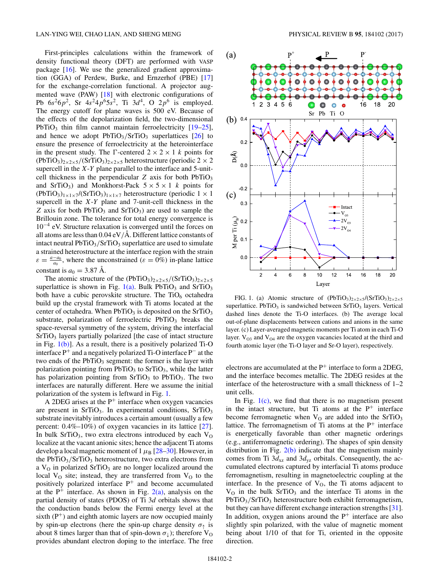<span id="page-1-0"></span>First-principles calculations within the framework of density functional theory (DFT) are performed with VASP package [\[16\]](#page-5-0). We use the generalized gradient approximation (GGA) of Perdew, Burke, and Ernzerhof (PBE) [\[17\]](#page-5-0) for the exchange-correlation functional. A projector augmented wave (PAW) [\[18\]](#page-5-0) with electronic configurations of Pb  $6s^26p^2$ , Sr  $4s^24p^65s^2$ , Ti  $3d^4$ , O  $2p^6$  is employed. The energy cutoff for plane waves is 500 eV. Because of the effects of the depolarization field, the two-dimensional PbTiO<sub>3</sub> thin film cannot maintain ferroelectricity  $[19-25]$ , and hence we adopt  $PbTiO<sub>3</sub>/SrTiO<sub>3</sub> superlattices [26] to$  $PbTiO<sub>3</sub>/SrTiO<sub>3</sub> superlattices [26] to$  $PbTiO<sub>3</sub>/SrTiO<sub>3</sub> superlattices [26] to$ ensure the presence of ferroelectricity at the heterointerface in the present study. The  $\Gamma$ -centered  $2 \times 2 \times 1$  *k* points for  $(PbTiO<sub>3</sub>)<sub>2×2×5</sub>$ /(SrTiO<sub>3</sub>)<sub>2×2×5</sub> heterostructure (periodic 2 × 2 supercell in the *X*-*Y* plane parallel to the interface and 5-unitcell thickness in the perpendicular  $Z$  axis for both  $PbTiO<sub>3</sub>$ and SrTiO<sub>3</sub>) and Monkhorst-Pack  $5 \times 5 \times 1$  *k* points for  $(PbTiO<sub>3</sub>)<sub>1×1×7</sub>$ /(SrTiO<sub>3</sub>)<sub>1×1×7</sub> heterostructure (periodic 1 × 1 supercell in the *X*-*Y* plane and 7-unit-cell thickness in the *Z* axis for both PbTiO<sub>3</sub> and SrTiO<sub>3</sub>) are used to sample the Brillouin zone. The tolerance for total energy convergence is 10−<sup>4</sup> eV. Structure relaxation is converged until the forces on all atoms are less than  $0.04 \text{ eV/A}$ . Different lattice constants of intact neutral PbTiO<sub>3</sub>/SrTiO<sub>3</sub> superlattice are used to simulate a strained heterostructure at the interface region with the strain  $\varepsilon = \frac{a - a_0}{a_0}$ , where the unconstrained ( $\varepsilon = 0\%$ ) in-plane lattice constant is  $a_0 = 3.87$  Å.

The atomic structure of the  $(PbTiO<sub>3</sub>)<sub>2×2×5</sub>/(SrTiO<sub>3</sub>)<sub>2×2×5</sub>$ superlattice is shown in Fig.  $1(a)$ . Bulk PbTiO<sub>3</sub> and SrTiO<sub>3</sub> both have a cubic perovskite structure. The  $TiO<sub>6</sub>$  octahedra build up the crystal framework with Ti atoms located at the center of octahedra. When  $PbTiO<sub>3</sub>$  is deposited on the  $SrTiO<sub>3</sub>$ substrate, polarization of ferroelectric  $PbTiO<sub>3</sub>$  breaks the space-reversal symmetry of the system, driving the interfacial  $SrTiO<sub>3</sub>$  layers partially polarized [the case of intact structure in Fig.  $1(b)$ ]. As a result, there is a positively polarized Ti-O interface P<sup>+</sup> and a negatively polarized Ti-O interface P<sup>−</sup> at the two ends of the  $PbTiO<sub>3</sub>$  segment: the former is the layer with polarization pointing from  $PbTiO<sub>3</sub>$  to  $SrTiO<sub>3</sub>$ , while the latter has polarization pointing from  $SrTiO<sub>3</sub>$  to  $PbTiO<sub>3</sub>$ . The two interfaces are naturally different. Here we assume the initial polarization of the system is leftward in Fig. 1.

A 2DEG arises at the  $P^+$  interface when oxygen vacancies are present in SrTiO<sub>3</sub>. In experimental conditions, SrTiO<sub>3</sub> substrate inevitably introduces a certain amount (usually a few percent:  $0.4\%$ – $10\%$ ) of oxygen vacancies in its lattice [\[27\]](#page-5-0). In bulk SrTiO<sub>3</sub>, two extra electrons introduced by each  $V<sub>O</sub>$ localize at the vacant anionic sites; hence the adjacent Ti atoms develop a local magnetic moment of  $1 \mu_B$  [\[28–30\]](#page-5-0). However, in the PbTiO<sub>3</sub>/SrTiO<sub>3</sub> heterostructure, two extra electrons from a  $V<sub>O</sub>$  in polarized SrTiO<sub>3</sub> are no longer localized around the local  $V<sub>O</sub>$  site; instead, they are transferred from  $V<sub>O</sub>$  to the positively polarized interface  $P^+$  and become accumulated at the  $P^+$  interface. As shown in Fig. [2\(a\),](#page-2-0) analysis on the partial density of states (PDOS) of Ti 3*d* orbitals shows that the conduction bands below the Fermi energy level at the sixth  $(P<sup>+</sup>)$  and eighth atomic layers are now occupied mainly by spin-up electrons (here the spin-up charge density  $\sigma_{\uparrow}$  is about 8 times larger than that of spin-down  $\sigma_{\perp}$ ); therefore V<sub>O</sub> provides abundant electron doping to the interface. The free



FIG. 1. (a) Atomic structure of  $(PbTiO<sub>3</sub>)<sub>2×2×5</sub>/(SrTiO<sub>3</sub>)<sub>2×2×5</sub>$ superlattice. PbTiO<sub>3</sub> is sandwiched between  $SrTiO<sub>3</sub>$  layers. Vertical dashed lines denote the Ti-O interfaces. (b) The average local out-of-plane displacements between cations and anions in the same layer. (c) Layer-averaged magnetic moments per Ti atom in each Ti-O layer.  $V_{O3}$  and  $V_{O4}$  are the oxygen vacancies located at the third and fourth atomic layer (the Ti-O layer and Sr-O layer), respectively.

electrons are accumulated at the  $P^+$  interface to form a 2DEG, and the interface becomes metallic. The 2DEG resides at the interface of the heterostructure with a small thickness of 1–2 unit cells.

In Fig.  $1(c)$ , we find that there is no magnetism present in the intact structure, but Ti atoms at the  $P^+$  interface become ferromagnetic when  $V<sub>O</sub>$  are added into the SrTiO<sub>3</sub> lattice. The ferromagnetism of Ti atoms at the  $P^+$  interface is energetically favorable than other magnetic orderings (e.g., antiferromagnetic ordering). The shapes of spin density distribution in Fig.  $2(b)$  indicate that the magnetism mainly comes from Ti  $3d_{xz}$  and  $3d_{yz}$  orbitals. Consequently, the accumulated electrons captured by interfacial Ti atoms produce ferromagnetism, resulting in magnetoelectric coupling at the interface. In the presence of  $V<sub>O</sub>$ , the Ti atoms adjacent to  $V<sub>O</sub>$  in the bulk SrTiO<sub>3</sub> and the interface Ti atoms in the PbTiO<sub>3</sub>/SrTiO<sub>3</sub> heterostructure both exhibit ferromagnetism, but they can have different exchange interaction strengths [\[31\]](#page-5-0). In addition, oxygen anions around the  $P^+$  interface are also slightly spin polarized, with the value of magnetic moment being about 1/10 of that for Ti, oriented in the opposite direction.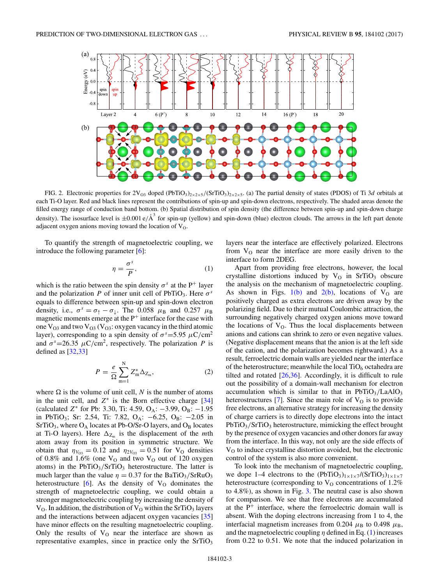<span id="page-2-0"></span>

FIG. 2. Electronic properties for  $2V_{O3}$  doped (PbTiO<sub>3</sub>)<sub>2×2×5</sub>/(SrTiO<sub>3</sub>)<sub>2×2×5</sub>. (a) The partial density of states (PDOS) of Ti 3*d* orbitals at each Ti-O layer. Red and black lines represent the contributions of spin-up and spin-down electrons, respectively. The shaded areas denote the filled energy range of conduction band bottom. (b) Spatial distribution of spin density (the difference between spin-up and spin-down charge density). The isosurface level is  $\pm 0.001 e/\text{\AA}^3$  for spin-up (yellow) and spin-down (blue) electron clouds. The arrows in the left part denote adjacent oxygen anions moving toward the location of  $V<sub>O</sub>$ .

To quantify the strength of magnetoelectric coupling, we introduce the following parameter [\[6\]](#page-5-0):

$$
\eta = \frac{\sigma^s}{P},\tag{1}
$$

which is the ratio between the spin density  $\sigma^s$  at the P<sup>+</sup> layer and the polarization *P* of inner unit cell of PbTiO<sub>3</sub>. Here  $\sigma^s$ equals to difference between spin-up and spin-down electron density, i.e.,  $\sigma^s = \sigma_\uparrow - \sigma_\downarrow$ . The 0.058  $\mu_\text{B}$  and 0.257  $\mu_\text{B}$ magnetic moments emerge at the  $P^+$  interface for the case with one  $V_{O3}$  and two  $V_{O3}$  ( $V_{O3}$ : oxygen vacancy in the third atomic layer), corresponding to a spin density of  $\sigma^s = 5.95 \mu C/cm^2$ and  $\sigma^s = 26.35 \mu C/cm^2$ , respectively. The polarization *P* is defined as  $[32,33]$ 

$$
P = \frac{e}{\Omega} \sum_{m=1}^{N} Z_m^* \Delta_{Z_m},
$$
 (2)

where  $\Omega$  is the volume of unit cell, *N* is the number of atoms in the unit cell, and  $Z^*$  is the Born effective charge  $[34]$ (calculated *Z*<sup>∗</sup> for Pb: 3.30, Ti: 4.59, O<sub>A</sub>: −3.99, O<sub>B</sub>: −1.95 in PbTiO<sub>3</sub>; Sr: 2.54, Ti: 7.82, O<sub>A</sub>:  $-6.25$ , O<sub>B</sub>:  $-2.05$  in  $SrTiO<sub>3</sub>$ , where  $O<sub>A</sub>$  locates at Pb-O/Sr-O layers, and  $O<sub>B</sub>$  locates at Ti-O layers). Here  $\Delta_{Z_m}$  is the displacement of the *m*th atom away from its position in symmetric structure. We obtain that  $\eta_{V_{O3}} = 0.12$  and  $\eta_{2V_{O3}} = 0.51$  for V<sub>O</sub> densities of 0.8% and 1.6% (one  $V<sub>O</sub>$  and two  $V<sub>O</sub>$  out of 120 oxygen atoms) in the  $PbTiO<sub>3</sub>/SrTiO<sub>3</sub>$  heterostructure. The latter is much larger than the value  $\eta = 0.37$  for the BaTiO<sub>3</sub>/SrRuO<sub>3</sub> heterostructure  $[6]$ . As the density of  $V<sub>O</sub>$  dominates the strength of magnetoelectric coupling, we could obtain a stronger magnetoelectric coupling by increasing the density of  $V<sub>O</sub>$ . In addition, the distribution of  $V<sub>O</sub>$  within the SrTiO<sub>3</sub> layers and the interactions between adjacent oxygen vacancies [\[35\]](#page-5-0) have minor effects on the resulting magnetoelectric coupling. Only the results of  $V<sub>O</sub>$  near the interface are shown as representative examples, since in practice only the  $SrTiO<sub>3</sub>$ 

layers near the interface are effectively polarized. Electrons from  $V<sub>O</sub>$  near the interface are more easily driven to the interface to form 2DEG.

Apart from providing free electrons, however, the local crystalline distortions induced by  $V<sub>O</sub>$  in SrTiO<sub>3</sub> obscure the analysis on the mechanism of magnetoelectric coupling. As shown in Figs.  $1(b)$  and  $2(b)$ , locations of  $V_0$  are positively charged as extra electrons are driven away by the polarizing field. Due to their mutual Coulombic attraction, the surrounding negatively charged oxygen anions move toward the locations of  $V<sub>O</sub>$ . Thus the local displacements between anions and cations can shrink to zero or even negative values. (Negative displacement means that the anion is at the left side of the cation, and the polarization becomes rightward.) As a result, ferroelectric domain walls are yielded near the interface of the heterostructure; meanwhile the local  $TiO<sub>6</sub>$  octahedra are tilted and rotated  $[26,36]$ . Accordingly, it is difficult to rule out the possibility of a domain-wall mechanism for electron accumulation which is similar to that in  $PbTiO<sub>3</sub>/LaAlO<sub>3</sub>$ heterostructures [\[7\]](#page-5-0). Since the main role of  $V<sub>O</sub>$  is to provide free electrons, an alternative strategy for increasing the density of charge carriers is to directly dope electrons into the intact PbTiO<sub>3</sub>/SrTiO<sub>3</sub> heterostructure, mimicking the effect brought by the presence of oxygen vacancies and other donors far away from the interface. In this way, not only are the side effects of  $V<sub>O</sub>$  to induce crystalline distortion avoided, but the electronic control of the system is also more convenient.

To look into the mechanism of magnetoelectric coupling, we dope 1–4 electrons to the  $(PbTiO<sub>3</sub>)<sub>1×1×7</sub>/(SrTiO<sub>3</sub>)<sub>1×1×7</sub>$ heterostructure (corresponding to  $V<sub>O</sub>$  concentrations of 1.2% to 4.8%), as shown in Fig. [3.](#page-3-0) The neutral case is also shown for comparison. We see that free electrons are accumulated at the  $P^+$  interface, where the ferroelectric domain wall is absent. With the doping electrons increasing from 1 to 4, the interfacial magnetism increases from 0.204  $\mu$ <sub>B</sub> to 0.498  $\mu$ <sub>B</sub>, and the magnetoelectric coupling  $\eta$  defined in Eq. (1) increases from 0.22 to 0.51. We note that the induced polarization in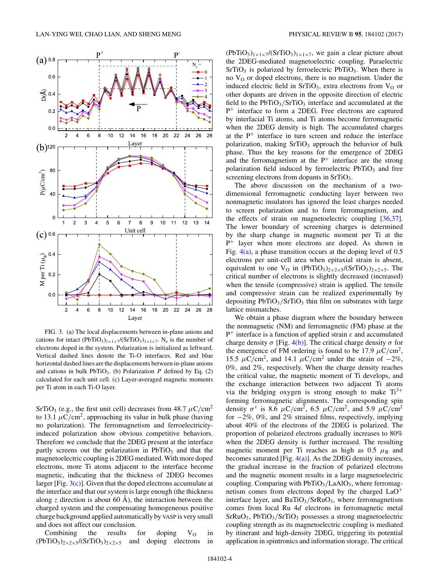<span id="page-3-0"></span>

FIG. 3. (a) The local displacements between in-plane anions and cations for intact  $(PbTiO<sub>3</sub>)<sub>1×1×7</sub>/(SrTiO<sub>3</sub>)<sub>1×1×7</sub>$ . N<sub>e</sub> is the number of electrons doped in the system. Polarization is initialized as leftward. Vertical dashed lines denote the Ti-O interfaces. Red and blue horizontal dashed lines are the displacements between in-plane anions and cations in bulk  $PbTiO_3$ . (b) Polarization *P* defined by Eq. [\(2\)](#page-2-0) calculated for each unit cell. (c) Layer-averaged magnetic moments per Ti atom in each Ti-O layer.

SrTiO<sub>3</sub> (e.g., the first unit cell) decreases from  $48.7 \mu C/cm^2$ to 13.1  $\mu$ C/cm<sup>2</sup>, approaching its value in bulk phase (having no polarization). The ferromagnetism and ferroelectricityinduced polarization show obvious competitive behaviors. Therefore we conclude that the 2DEG present at the interface partly screens out the polarization in  $PbTiO<sub>3</sub>$  and that the magnetoelectric coupling is 2DEG mediated. With more doped electrons, more Ti atoms adjacent to the interface become magnetic, indicating that the thickness of 2DEG becomes larger [Fig.  $3(c)$ ]. Given that the doped electrons accumulate at the interface and that our system is large enough (the thickness along *z* direction is about 60 A), the interaction between the charged system and the compensating homogeneous positive charge background applied automatically by VASP is very small and does not affect our conclusion.

Combining the results for doping  $V_0$  in  $(PbTiO<sub>3</sub>)<sub>2×2×5</sub>$ /(SrTiO<sub>3</sub>)<sub>2×2×5</sub> and doping electrons in  $(PbTiO<sub>3</sub>)<sub>1×1×7</sub>$ /(SrTiO<sub>3</sub>)<sub>1×1×7</sub>, we gain a clear picture about the 2DEG-mediated magnetoelectric coupling. Paraelectric  $SrTiO<sub>3</sub>$  is polarized by ferroelectric PbTiO<sub>3</sub>. When there is no  $V<sub>O</sub>$  or doped electrons, there is no magnetism. Under the induced electric field in SrTiO<sub>3</sub>, extra electrons from  $V<sub>O</sub>$  or other dopants are driven in the opposite direction of electric field to the  $PbTiO<sub>3</sub>/SrTiO<sub>3</sub>$  interface and accumulated at the P<sup>+</sup> interface to form a 2DEG. Free electrons are captured by interfacial Ti atoms, and Ti atoms become ferromagnetic when the 2DEG density is high. The accumulated charges at the  $P^+$  interface in turn screen and reduce the interface polarization, making  $SrTiO<sub>3</sub>$  approach the behavior of bulk phase. Thus the key reasons for the emergence of 2DEG and the ferromagnetism at the  $P^+$  interface are the strong polarization field induced by ferroelectric  $PbTiO<sub>3</sub>$  and free screening electrons from dopants in SrTiO<sub>3</sub>.

The above discussion on the mechanism of a twodimensional ferromagnetic conducting layer between two nonmagnetic insulators has ignored the least charges needed to screen polarization and to form ferromagnetism, and the effects of strain on magnetoelectric coupling [\[36,37\]](#page-5-0). The lower boundary of screening charges is determined by the sharp change in magnetic moment per Ti at the  $P^+$  layer when more electrons are doped. As shown in Fig.  $4(a)$ , a phase transition occurs at the doping level of 0.5 electrons per unit-cell area when epitaxial strain is absent, equivalent to one V<sub>O</sub> in (PbTiO<sub>3</sub>)<sub>2×2×5</sub>/(SrTiO<sub>3</sub>)<sub>2×2×5</sub>. The critical number of electrons is slightly decreased (increased) when the tensile (compressive) strain is applied. The tensile and compressive strain can be realized experimentally by depositing  $PbTiO<sub>3</sub>/SrTiO<sub>3</sub>$  thin film on substrates with large lattice mismatches.

We obtain a phase diagram where the boundary between the nonmagnetic (NM) and ferromagnetic (FM) phase at the P<sup>+</sup> interface is a function of applied strain *ε* and accumulated charge density  $\sigma$  [Fig. [4\(b\)\]](#page-4-0). The critical charge density  $\sigma$  for the emergence of FM ordering is found to be 17.9  $\mu$ C/cm<sup>2</sup>, 15.5  $\mu$ C/cm<sup>2</sup>, and 14.1  $\mu$ C/cm<sup>2</sup> under the strain of  $-2\%$ , 0%, and 2%, respectively. When the charge density reaches the critical value, the magnetic moment of Ti develops, and the exchange interaction between two adjacent Ti atoms via the bridging oxygen is strong enough to make  $Ti<sup>3+</sup>$ forming ferromagnetic alignments. The corresponding spin density  $\sigma^s$  is 8.6  $\mu$ C/cm<sup>2</sup>, 6.5  $\mu$ C/cm<sup>2</sup>, and 5.9  $\mu$ C/cm<sup>2</sup> for −2%, 0%, and 2% strained films, respectively, implying about 40% of the electrons of the 2DEG is polarized. The proportion of polarized electrons gradually increases to 80% when the 2DEG density is further increased. The resulting magnetic moment per Ti reaches as high as  $0.5 \mu_B$  and becomes saturated [Fig.  $4(a)$ ]. As the 2DEG density increases, the gradual increase in the fraction of polarized electrons and the magnetic moment results in a large magnetoelectric coupling. Comparing with PbTiO<sub>3</sub>/LaAlO<sub>3</sub>, where ferromagnetism comes from electrons doped by the charged  $LaO<sup>+</sup>$ interface layer, and BaTiO<sub>3</sub>/SrRuO<sub>3</sub>, where ferromagnetism comes from local Ru 4*d* electrons in ferromagnetic metal SrRuO<sub>3</sub>, PbTiO<sub>3</sub>/SrTiO<sub>3</sub> possesses a strong magnetoelectric coupling strength as its magnetoelectric coupling is mediated by itinerant and high-density 2DEG, triggering its potential application in spintronics and information storage. The critical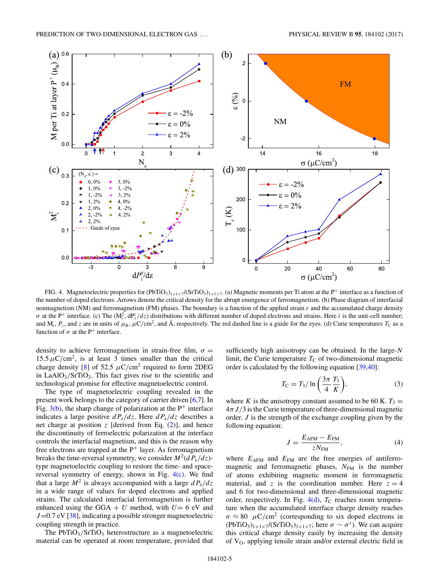<span id="page-4-0"></span>

FIG. 4. Magnetoelectric properties for  $(PbTiO<sub>3</sub>)_{1\times1\times7}/(STIO<sub>3</sub>)_{1\times1\times7}$ . (a) Magnetic moments per Ti atom at the P<sup>+</sup> interface as a function of the number of doped electrons. Arrows denote the critical density for the abrupt emergence of ferromagnetism. (b) Phase diagram of interfacial nonmagnetism (NM) and ferromagnetism (FM) phases. The boundary is a function of the applied strain *ε* and the accumulated charge density  $\sigma$  at the P<sup>+</sup> interface. (c) The  $(M_i^2, dP_i^z/dz)$  distributions with different number of doped electrons and strains. Here *i* is the unit-cell number; and M<sub>i</sub>,  $P_z$ , and *z* are in units of  $\mu_B$ ,  $\mu$ C/cm<sup>2</sup>, and A, respectively. The red dashed line is a guide for the eyes. (d) Curie temperatures  $T_c$  as a function of  $\sigma$  at the P<sup>+</sup> interface.

density to achieve ferromagnetism in strain-free film,  $\sigma$  =  $15.5 \,\mu$ C/cm<sup>2</sup>, is at least 3 times smaller than the critical charge density [\[8\]](#page-5-0) of 52.5  $\mu$ C/cm<sup>2</sup> required to form 2DEG in LaAlO3*/*SrTiO3. This fact gives rise to the scientific and technological promise for effective magnetoelectric control.

The type of magnetoelectric coupling revealed in the present work belongs to the category of carrier driven [\[6,7\]](#page-5-0). In Fig.  $3(b)$ , the sharp change of polarization at the P<sup>+</sup> interface indicates a large positive  $dP_z/dz$ . Here  $dP_z/dz$  describes a net charge at position  $z$  [derived from Eq.  $(2)$ ], and hence the discontinuity of ferroelectric polarization at the interface controls the interfacial magnetism, and this is the reason why free electrons are trapped at the  $P^+$  layer. As ferromagnetism breaks the time-reversal symmetry, we consider  $M^2(dP_z/dz)$ type magnetoelectric coupling to restore the time- and spacereversal symmetry of energy, shown in Fig.  $4(c)$ . We find that a large  $M^2$  is always accompanied with a large  $dP_z/dz$ in a wide range of values for doped electrons and applied strains. The calculated interfacial ferromagnetism is further enhanced using the GGA +  $U$  method, with  $U=6$  eV and *J*=0.7 eV [\[38\]](#page-5-0), indicating a possible stronger magnetoelectric coupling strength in practice.

The PbTiO<sub>3</sub>/SrTiO<sub>3</sub> heterostructure as a magnetoelectric material can be operated at room temperature, provided that sufficiently high anisotropy can be obtained. In the large-*N* limit, the Curie temperature  $T<sub>C</sub>$  of two-dimensional magnetic order is calculated by the following equation [\[39,40\]](#page-5-0):

$$
T_{\rm C} = T_3 / \ln\left(\frac{3\pi}{4}\frac{T_3}{K}\right),\tag{3}
$$

where *K* is the anisotropy constant assumed to be 60 K.  $T_3 =$ 4*πJ/*3 is the Curie temperature of three-dimensional magnetic order. *J* is the strength of the exchange coupling given by the following equation:

$$
J = \frac{E_{\text{AFM}} - E_{\text{FM}}}{zN_{\text{FM}}},\tag{4}
$$

where  $E_{\text{AFM}}$  and  $E_{\text{FM}}$  are the free energies of antiferromagnetic and ferromagnetic phases,  $N_{FM}$  is the number of atoms exhibiting magnetic moment in ferromagnetic material, and *z* is the coordination number. Here  $z = 4$ and 6 for two-dimensional and three-dimensional magnetic order, respectively. In Fig.  $4(d)$ ,  $T_C$  reaches room temperature when the accumulated interface charge density reaches  $\sigma \approx 80 \mu C/cm^2$  (corresponding to six doped electrons in  $(PbTiO<sub>3</sub>)<sub>1×1×7</sub>$ /(SrTiO<sub>3</sub>)<sub>1×1×7</sub>; here  $\sigma \sim \sigma^s$ ). We can acquire this critical charge density easily by increasing the density of V<sub>O</sub>, applying tensile strain and/or external electric field in